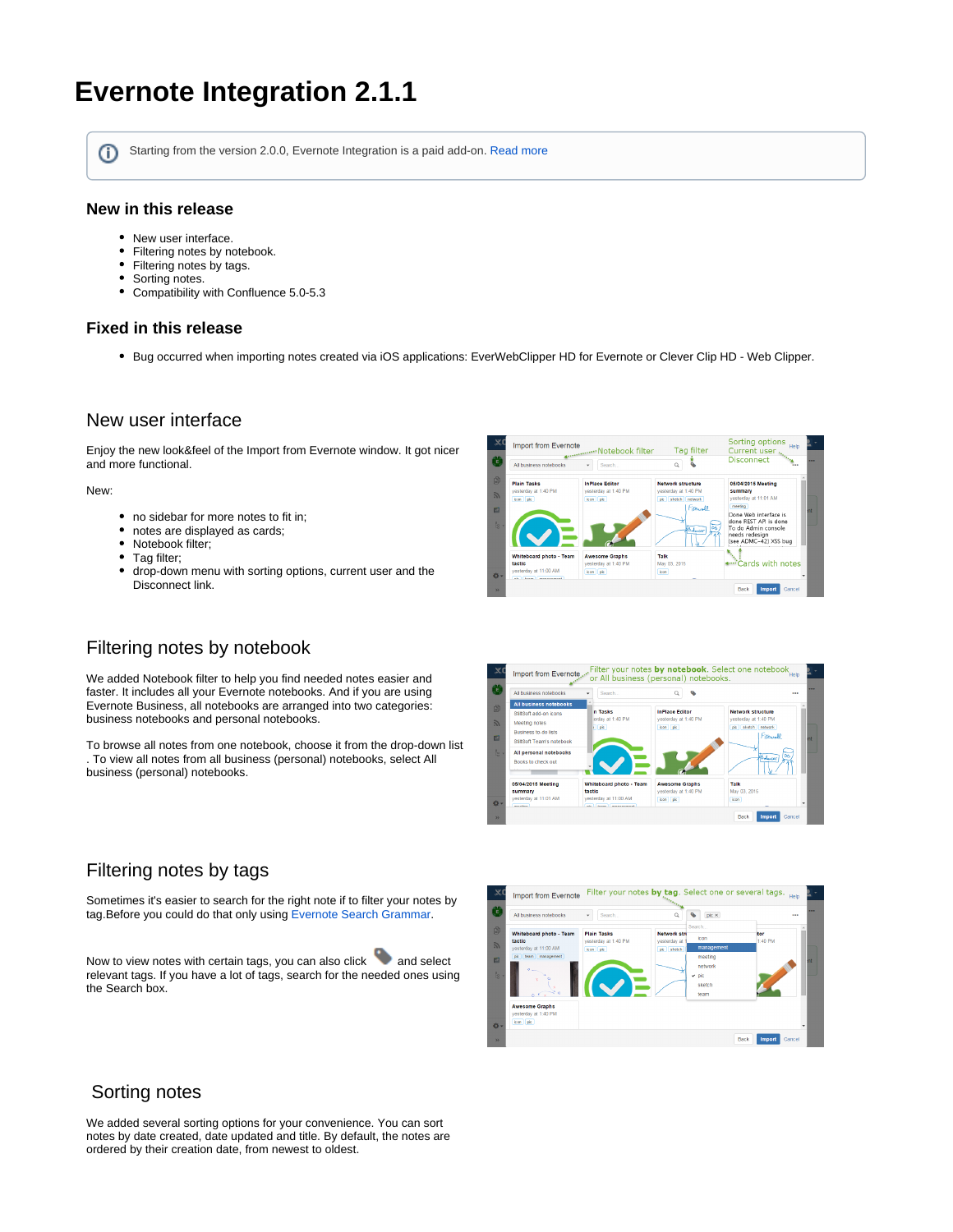# **Evernote Integration 2.1.1**

ന

Starting from the version 2.0.0, Evernote Integration is a paid add-on. [Read more](https://docs.stiltsoft.com/display/Evernote/Evernote+Integration+2.0.0)

### **New in this release**

- New user interface.
- Filtering notes by notebook.
- Filtering notes by tags.
- $\bullet$ Sorting notes.
- Compatibility with Confluence 5.0-5.3  $\bullet$

### **Fixed in this release**

Bug occurred when importing notes created via iOS applications: EverWebClipper HD for Evernote or Clever Clip HD - Web Clipper.

### New user interface

Enjoy the new look&feel of the Import from Evernote window. It got nicer and more functional.

#### New:

- no sidebar for more notes to fit in;
- notes are displayed as cards;
- Notebook filter;
- Tag filter;
- $\bullet$ drop-down menu with sorting options, current user and the Disconnect link.

# Filtering notes by notebook

We added Notebook filter to help you find needed notes easier and faster. It includes all your Evernote notebooks. And if you are using Evernote Business, all notebooks are arranged into two categories: business notebooks and personal notebooks.

To browse all notes from one notebook, choose it from the drop-down list . To view all notes from all business (personal) notebooks, select All business (personal) notebooks.





# Filtering notes by tags

Sometimes it's easier to search for the right note if to filter your notes by tag.Before you could do that only using [Evernote Search Grammar.](http://dev.evernote.com/documentation/cloud/chapters/search_grammar.php)

Now to view notes with certain tags, you can also click and select relevant tags. If you have a lot of tags, search for the needed ones using the Search box.



## Sorting notes

We added several sorting options for your convenience. You can sort notes by date created, date updated and title. By default, the notes are ordered by their creation date, from newest to oldest.